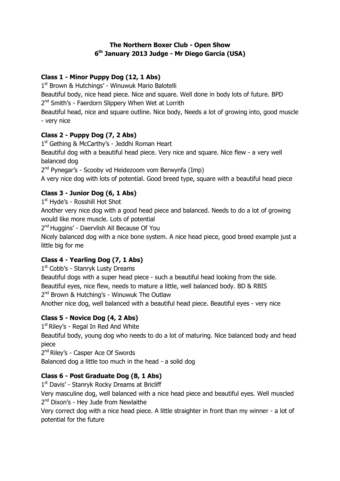#### **The Northern Boxer Club - Open Show 6 th January 2013 Judge - Mr Diego Garcia (USA)**

## **Class 1 - Minor Puppy Dog (12, 1 Abs)**

1<sup>st</sup> Brown & Hutchings' - Winuwuk Mario Balotelli

Beautiful body, nice head piece. Nice and square. Well done in body lots of future. BPD 2<sup>nd</sup> Smith's - Faerdorn Slippery When Wet at Lorrith

Beautiful head, nice and square outline. Nice body, Needs a lot of growing into, good muscle - very nice

## **Class 2 - Puppy Dog (7, 2 Abs)**

1<sup>st</sup> Gething & McCarthy's - Jeddhi Roman Heart Beautiful dog with a beautiful head piece. Very nice and square. Nice flew - a very well balanced dog

2<sup>nd</sup> Pynegar's - Scooby vd Heidezoom vom Berwynfa (Imp)

A very nice dog with lots of potential. Good breed type, square with a beautiful head piece

## **Class 3 - Junior Dog (6, 1 Abs)**

1st Hyde's - Rosshill Hot Shot

Another very nice dog with a good head piece and balanced. Needs to do a lot of growing would like more muscle. Lots of potential

2<sup>nd</sup> Huggins' - Daervlish All Because Of You

Nicely balanced dog with a nice bone system. A nice head piece, good breed example just a little big for me

# **Class 4 - Yearling Dog (7, 1 Abs)**

1st Cobb's - Stanryk Lusty Dreams

Beautiful dogs with a super head piece - such a beautiful head looking from the side. Beautiful eyes, nice flew, needs to mature a little, well balanced body. BD & RBIS 2<sup>nd</sup> Brown & Hutching's - Winuwuk The Outlaw

Another nice dog, well balanced with a beautiful head piece. Beautiful eyes - very nice

# **Class 5 - Novice Dog (4, 2 Abs)**

1<sup>st</sup> Riley's - Regal In Red And White

Beautiful body, young dog who needs to do a lot of maturing. Nice balanced body and head piece

2<sup>nd</sup> Riley's - Casper Ace Of Swords

Balanced dog a little too much in the head - a solid dog

#### **Class 6 - Post Graduate Dog (8, 1 Abs)**

1<sup>st</sup> Davis' - Stanryk Rocky Dreams at Bricliff

Very masculine dog, well balanced with a nice head piece and beautiful eyes. Well muscled 2<sup>nd</sup> Dixon's - Hey Jude from Newlaithe

Very correct dog with a nice head piece. A little straighter in front than my winner - a lot of potential for the future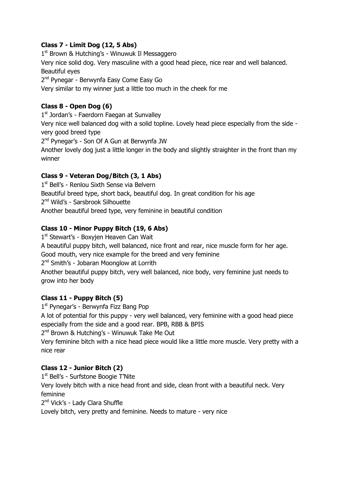## **Class 7 - Limit Dog (12, 5 Abs)**

1<sup>st</sup> Brown & Hutching's - Winuwuk II Messaggero Very nice solid dog. Very masculine with a good head piece, nice rear and well balanced. Beautiful eyes 2<sup>nd</sup> Pynegar - Berwynfa Easy Come Easy Go

Very similar to my winner just a little too much in the cheek for me

### **Class 8 - Open Dog (6)**

1st Jordan's - Faerdorn Faegan at Sunvalley

Very nice well balanced dog with a solid topline. Lovely head piece especially from the side very good breed type

2<sup>nd</sup> Pynegar's - Son Of A Gun at Berwynfa JW

Another lovely dog just a little longer in the body and slightly straighter in the front than my winner

#### **Class 9 - Veteran Dog/Bitch (3, 1 Abs)**

1st Bell's - Renlou Sixth Sense via Belvern Beautiful breed type, short back, beautiful dog. In great condition for his age 2<sup>nd</sup> Wild's - Sarsbrook Silhouette Another beautiful breed type, very feminine in beautiful condition

## **Class 10 - Minor Puppy Bitch (19, 6 Abs)**

1st Stewart's - Boxyjen Heaven Can Wait

A beautiful puppy bitch, well balanced, nice front and rear, nice muscle form for her age.

Good mouth, very nice example for the breed and very feminine

2<sup>nd</sup> Smith's - Jobaran Moonglow at Lorrith

Another beautiful puppy bitch, very well balanced, nice body, very feminine just needs to grow into her body

#### **Class 11 - Puppy Bitch (5)**

1<sup>st</sup> Pynegar's - Berwynfa Fizz Bang Pop

A lot of potential for this puppy - very well balanced, very feminine with a good head piece especially from the side and a good rear. BPB, RBB & BPIS

2<sup>nd</sup> Brown & Hutching's - Winuwuk Take Me Out

Very feminine bitch with a nice head piece would like a little more muscle. Very pretty with a nice rear

#### **Class 12 - Junior Bitch (2)**

1<sup>st</sup> Bell's - Surfstone Boogie T'Nite

Very lovely bitch with a nice head front and side, clean front with a beautiful neck. Very feminine

2<sup>nd</sup> Vick's - Lady Clara Shuffle

Lovely bitch, very pretty and feminine. Needs to mature - very nice